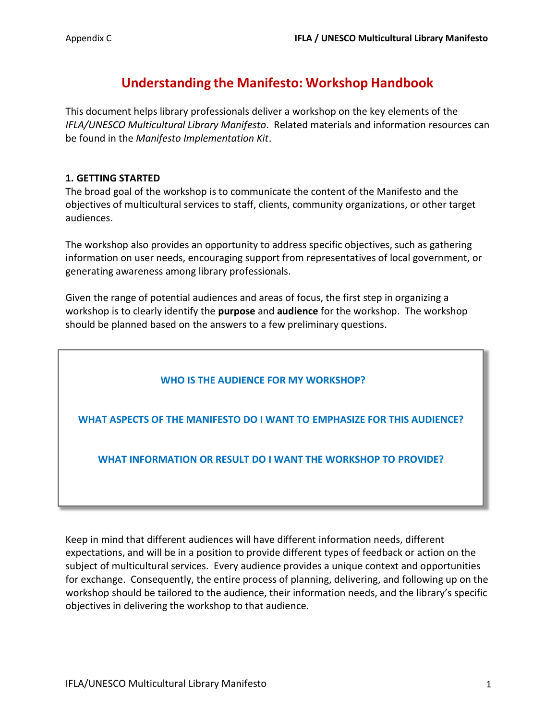# **Understanding the Manifesto: Workshop Handbook**

This document helps library professionals deliver a workshop on the key elements of the *IFLA/UNESCO Multicultural Library Manifesto*. Related materials and information resources can be found in the *Manifesto Implementation Kit*.

## **1. GETTING STARTED**

The broad goal of the workshop is to communicate the content of the Manifesto and the objectives of multicultural services to staff, clients, community organizations, or other target audiences.

The workshop also provides an opportunity to address specific objectives, such as gathering information on user needs, encouraging support from representatives of local government, or generating awareness among library professionals.

Given the range of potential audiences and areas of focus, the first step in organizing a workshop is to clearly identify the **purpose** and **audience** for the workshop. The workshop should be planned based on the answers to a few preliminary questions.

## **WHO IS THE AUDIENCE FOR MY WORKSHOP?**

**WHAT ASPECTS OF THE MANIFESTO DO I WANT TO EMPHASIZE FOR THIS AUDIENCE?**

**WHAT INFORMATION OR RESULT DO I WANT THE WORKSHOP TO PROVIDE?**

Keep in mind that different audiences will have different information needs, different expectations, and will be in a position to provide different types of feedback or action on the subject of multicultural services. Every audience provides a unique context and opportunities for exchange. Consequently, the entire process of planning, delivering, and following up on the workshop should be tailored to the audience, their information needs, and the library's specific objectives in delivering the workshop to that audience.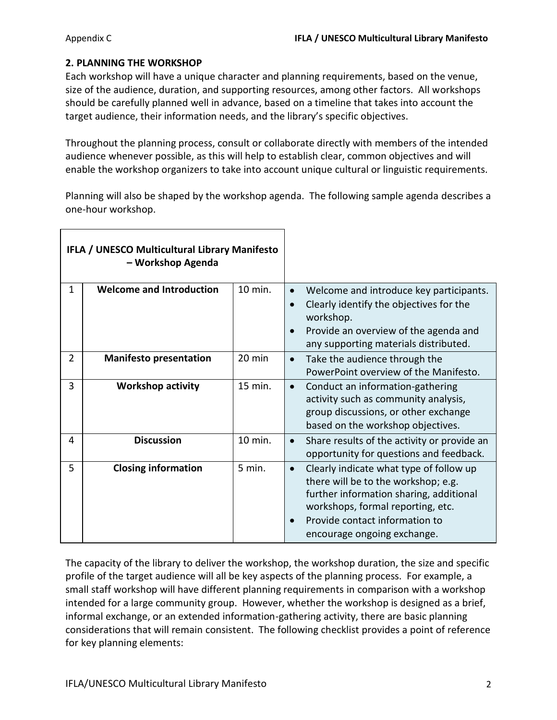## **2. PLANNING THE WORKSHOP**

Each workshop will have a unique character and planning requirements, based on the venue, size of the audience, duration, and supporting resources, among other factors. All workshops should be carefully planned well in advance, based on a timeline that takes into account the target audience, their information needs, and the library's specific objectives.

Throughout the planning process, consult or collaborate directly with members of the intended audience whenever possible, as this will help to establish clear, common objectives and will enable the workshop organizers to take into account unique cultural or linguistic requirements.

Planning will also be shaped by the workshop agenda. The following sample agenda describes a one-hour workshop.

| IFLA / UNESCO Multicultural Library Manifesto<br>- Workshop Agenda |                                 |                  |                                                                                                                                                                                                                                              |
|--------------------------------------------------------------------|---------------------------------|------------------|----------------------------------------------------------------------------------------------------------------------------------------------------------------------------------------------------------------------------------------------|
| $\mathbf{1}$                                                       | <b>Welcome and Introduction</b> | 10 min.          | Welcome and introduce key participants.<br>Clearly identify the objectives for the<br>workshop.<br>Provide an overview of the agenda and<br>$\bullet$<br>any supporting materials distributed.                                               |
| $\overline{2}$                                                     | <b>Manifesto presentation</b>   | $20 \text{ min}$ | Take the audience through the<br>$\bullet$<br>PowerPoint overview of the Manifesto.                                                                                                                                                          |
| 3                                                                  | <b>Workshop activity</b>        | 15 min.          | Conduct an information-gathering<br>$\bullet$<br>activity such as community analysis,<br>group discussions, or other exchange<br>based on the workshop objectives.                                                                           |
| 4                                                                  | <b>Discussion</b>               | 10 min.          | Share results of the activity or provide an<br>$\bullet$<br>opportunity for questions and feedback.                                                                                                                                          |
| 5                                                                  | <b>Closing information</b>      | 5 min.           | Clearly indicate what type of follow up<br>$\bullet$<br>there will be to the workshop; e.g.<br>further information sharing, additional<br>workshops, formal reporting, etc.<br>Provide contact information to<br>encourage ongoing exchange. |

The capacity of the library to deliver the workshop, the workshop duration, the size and specific profile of the target audience will all be key aspects of the planning process. For example, a small staff workshop will have different planning requirements in comparison with a workshop intended for a large community group. However, whether the workshop is designed as a brief, informal exchange, or an extended information-gathering activity, there are basic planning considerations that will remain consistent. The following checklist provides a point of reference for key planning elements: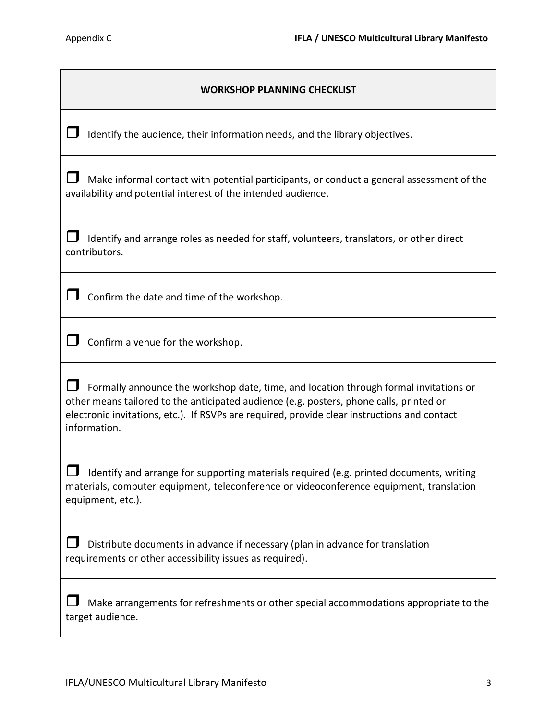| <b>WORKSHOP PLANNING CHECKLIST</b>                                                                                                                                                                                                                                                               |  |  |  |
|--------------------------------------------------------------------------------------------------------------------------------------------------------------------------------------------------------------------------------------------------------------------------------------------------|--|--|--|
| Identify the audience, their information needs, and the library objectives.                                                                                                                                                                                                                      |  |  |  |
| Make informal contact with potential participants, or conduct a general assessment of the<br>availability and potential interest of the intended audience.                                                                                                                                       |  |  |  |
| Identify and arrange roles as needed for staff, volunteers, translators, or other direct<br>contributors.                                                                                                                                                                                        |  |  |  |
| Confirm the date and time of the workshop.                                                                                                                                                                                                                                                       |  |  |  |
| Confirm a venue for the workshop.                                                                                                                                                                                                                                                                |  |  |  |
| Formally announce the workshop date, time, and location through formal invitations or<br>other means tailored to the anticipated audience (e.g. posters, phone calls, printed or<br>electronic invitations, etc.). If RSVPs are required, provide clear instructions and contact<br>information. |  |  |  |
| Identify and arrange for supporting materials required (e.g. printed documents, writing<br>materials, computer equipment, teleconference or videoconference equipment, translation<br>equipment, etc.).                                                                                          |  |  |  |
| Distribute documents in advance if necessary (plan in advance for translation<br>requirements or other accessibility issues as required).                                                                                                                                                        |  |  |  |
| Make arrangements for refreshments or other special accommodations appropriate to the<br>target audience.                                                                                                                                                                                        |  |  |  |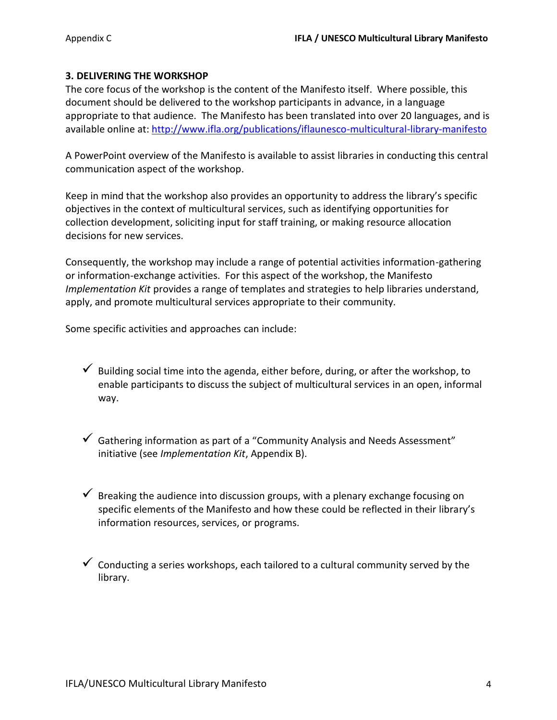#### **3. DELIVERING THE WORKSHOP**

The core focus of the workshop is the content of the Manifesto itself. Where possible, this document should be delivered to the workshop participants in advance, in a language appropriate to that audience. The Manifesto has been translated into over 20 languages, and is available online at[: http://www.ifla.org/publications/iflaunesco-multicultural-library-manifesto](http://www.ifla.org/publications/iflaunesco-multicultural-library-manifesto)

A PowerPoint overview of the Manifesto is available to assist libraries in conducting this central communication aspect of the workshop.

Keep in mind that the workshop also provides an opportunity to address the library's specific objectives in the context of multicultural services, such as identifying opportunities for collection development, soliciting input for staff training, or making resource allocation decisions for new services.

Consequently, the workshop may include a range of potential activities information-gathering or information-exchange activities. For this aspect of the workshop, the Manifesto *Implementation Kit* provides a range of templates and strategies to help libraries understand, apply, and promote multicultural services appropriate to their community.

Some specific activities and approaches can include:

- $\checkmark$  Building social time into the agenda, either before, during, or after the workshop, to enable participants to discuss the subject of multicultural services in an open, informal way.
- $\checkmark$  Gathering information as part of a "Community Analysis and Needs Assessment" initiative (see *Implementation Kit*, Appendix B).
- $\checkmark$  Breaking the audience into discussion groups, with a plenary exchange focusing on specific elements of the Manifesto and how these could be reflected in their library's information resources, services, or programs.
- $\checkmark$  Conducting a series workshops, each tailored to a cultural community served by the library.